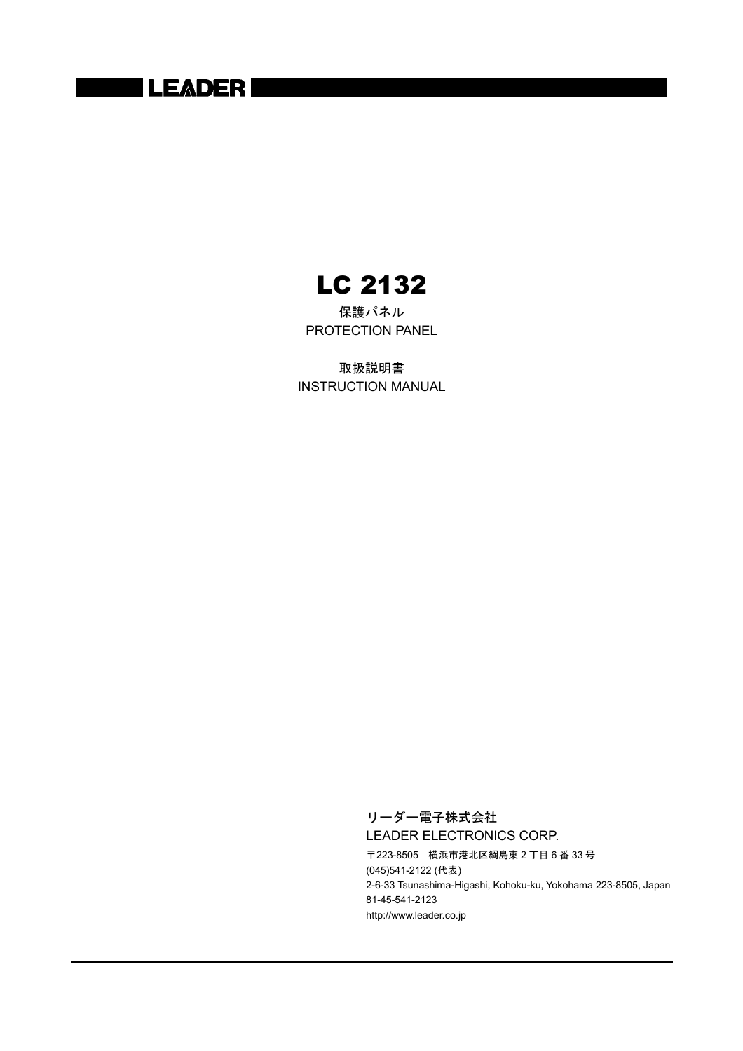## **LEADER**

LC 2132

保護パネル PROTECTION PANEL

取扱説明書 INSTRUCTION MANUAL

> リーダー電子株式会社 LEADER ELECTRONICS CORP.

〒223-8505 横浜市港北区綱島東 2 丁目 6 番 33 号 (045)541-2122 (代表) 2-6-33 Tsunashima-Higashi, Kohoku-ku, Yokohama 223-8505, Japan 81-45-541-2123 http://www.leader.co.jp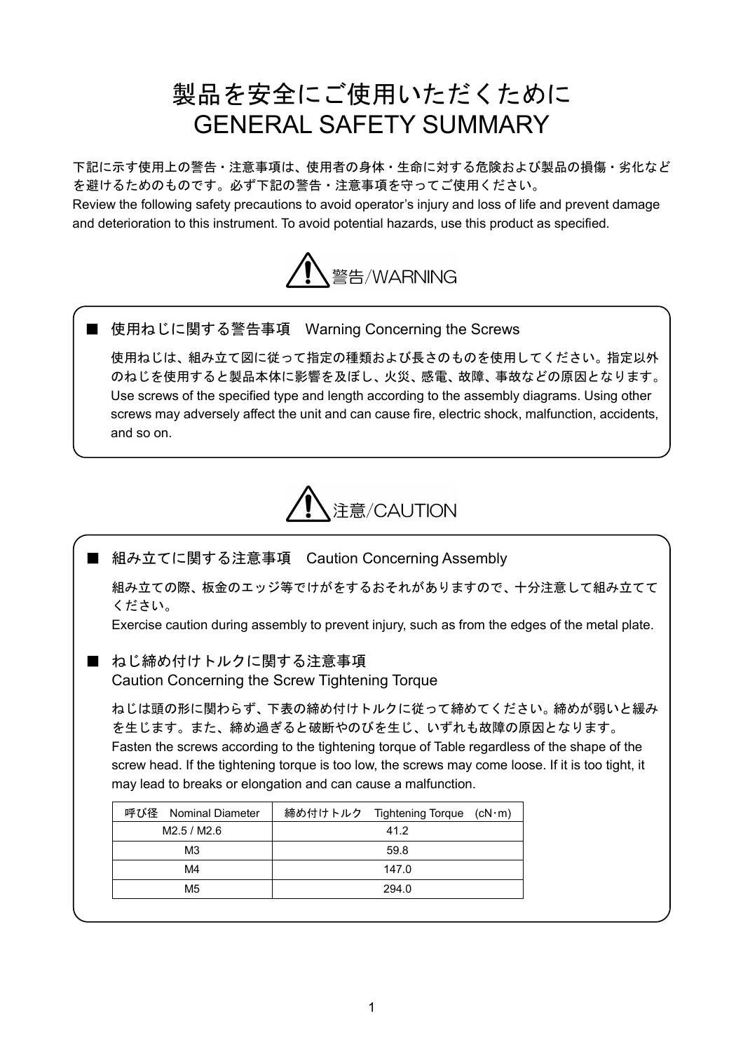# 製品を安全にご使用いただくために GENERAL SAFETY SUMMARY

下記に示す使用上の警告・注意事項は、使用者の身体・生命に対する危険および製品の損傷・劣化など を避けるためのものです。必ず下記の警告・注意事項を守ってご使用ください。

Review the following safety precautions to avoid operator's injury and loss of life and prevent damage and deterioration to this instrument. To avoid potential hazards, use this product as specified.



■ 使用ねじに関する警告事項 Warning Concerning the Screws

使用ねじは、組み立て図に従って指定の種類および長さのものを使用してください。指定以外 のねじを使用すると製品本体に影響を及ぼし、火災、感電、故障、事故などの原因となります。 Use screws of the specified type and length according to the assembly diagrams. Using other screws may adversely affect the unit and can cause fire, electric shock, malfunction, accidents, and so on.



■ 組み立てに関する注意事項 Caution Concerning Assembly

組み立ての際、板金のエッジ等でけがをするおそれがありますので、十分注意して組み立てて ください。

Exercise caution during assembly to prevent injury, such as from the edges of the metal plate.

■ ねじ締め付けトルクに関する注意事項

Caution Concerning the Screw Tightening Torque

ねじは頭の形に関わらず、下表の締め付けトルクに従って締めてください。締めが弱いと緩み を生じます。また、締め過ぎると破断やのびを生じ、いずれも故障の原因となります。 Fasten the screws according to the tightening torque of Table regardless of the shape of the screw head. If the tightening torque is too low, the screws may come loose. If it is too tight, it may lead to breaks or elongation and can cause a malfunction.

| 呼び径<br>Nominal Diameter | 締め付けトルク Tightening Torque (cN·m) |
|-------------------------|----------------------------------|
| M2.5 / M2.6             | 41.2                             |
| M3                      | 59.8                             |
| M4                      | 147.0                            |
| M5                      | 294.0                            |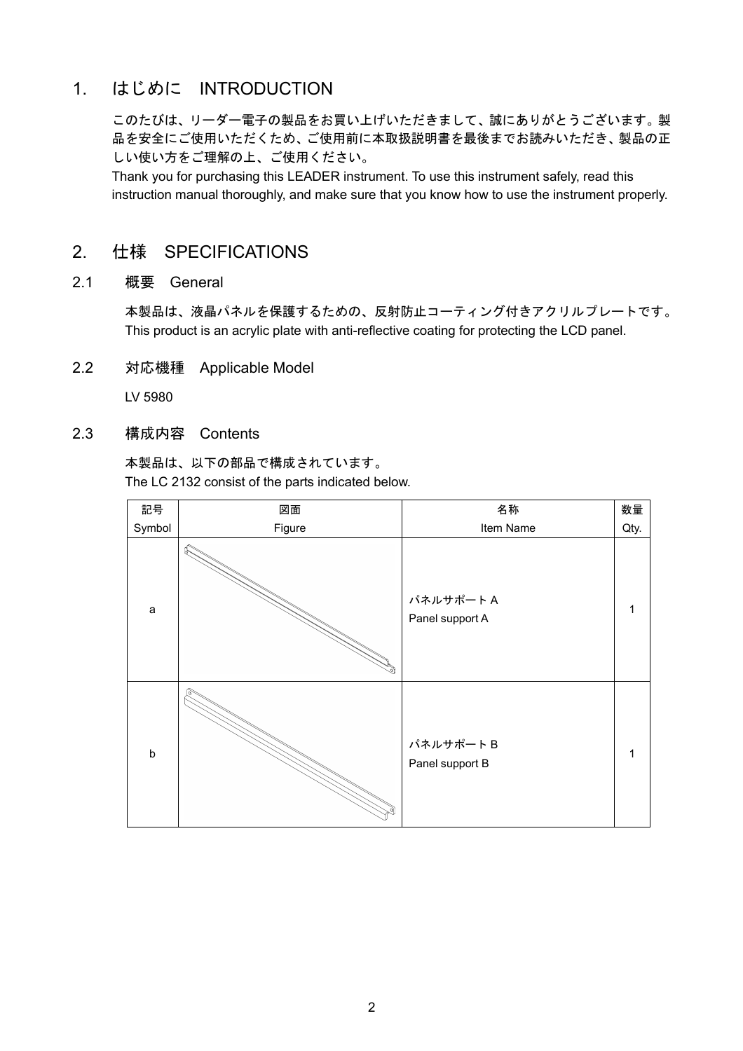### 1. はじめに INTRODUCTION

このたびは、リーダー電子の製品をお買い上げいただきまして、誠にありがとうございます。製 品を安全にご使用いただくため、ご使用前に本取扱説明書を最後までお読みいただき、製品の正 しい使い方をご理解の上、ご使用ください。

Thank you for purchasing this LEADER instrument. To use this instrument safely, read this instruction manual thoroughly, and make sure that you know how to use the instrument properly.

#### 2. 仕様 SPECIFICATIONS

2.1 概要 General

本製品は、液晶パネルを保護するための、反射防止コーティング付きアクリルプレートです。 This product is an acrylic plate with anti-reflective coating for protecting the LCD panel.

2.2 対応機種 Applicable Model

LV 5980

2.3 構成内容 Contents

本製品は、以下の部品で構成されています。 The LC 2132 consist of the parts indicated below.

| 記号      | 図面                  | 名称                          |   |  |
|---------|---------------------|-----------------------------|---|--|
| Symbol  | Figure<br>Item Name |                             |   |  |
| a       |                     | パネルサポートA<br>Panel support A | 1 |  |
| $\sf b$ |                     | パネルサポートB<br>Panel support B | 1 |  |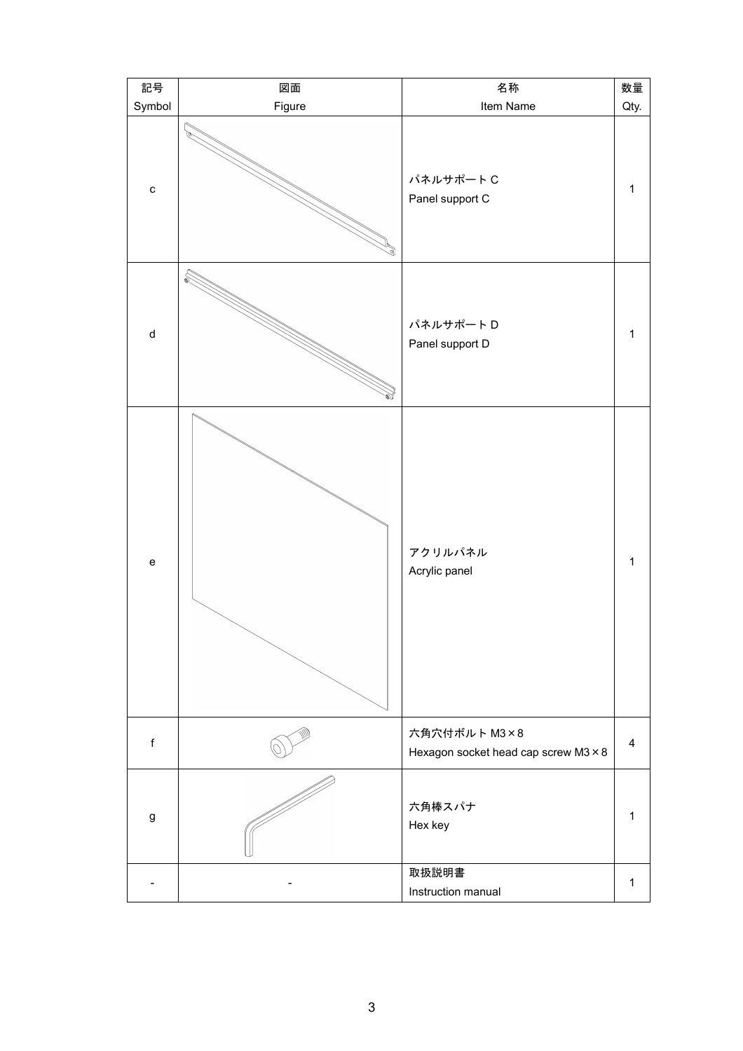| 記号           | 図面     | 名称<br>数量                                             |              |  |
|--------------|--------|------------------------------------------------------|--------------|--|
| Symbol       | Figure | Item Name                                            |              |  |
| $\mathtt{C}$ |        | パネルサポートC<br>Panel support C                          | $\mathbf{1}$ |  |
| ${\sf d}$    | ₷      | パネルサポートD<br>Panel support D                          | $\mathbf 1$  |  |
| ${\bf e}$    |        | アクリルパネル<br>Acrylic panel                             | $\mathbf 1$  |  |
| $\mathsf f$  |        | 六角穴付ボルト M3×8<br>Hexagon socket head cap screw M3 × 8 | 4            |  |
| g            |        | 六角棒スパナ<br>Hex key                                    | $\mathbf{1}$ |  |
|              |        | 取扱説明書<br>Instruction manual                          | $\mathbf 1$  |  |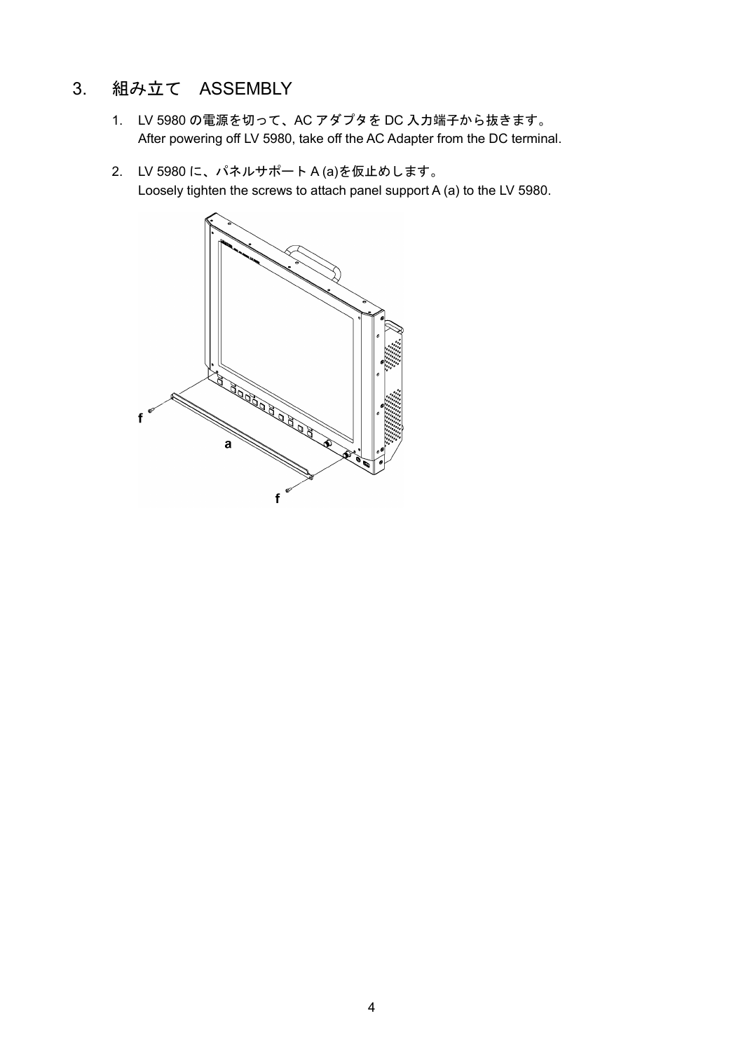### 3. 組み立て ASSEMBLY

- 1. LV 5980 の電源を切って、AC アダプタを DC 入力端子から抜きます。 After powering off LV 5980, take off the AC Adapter from the DC terminal.
- 2. LV 5980 に、パネルサポート A (a)を仮止めします。 Loosely tighten the screws to attach panel support A (a) to the LV 5980.

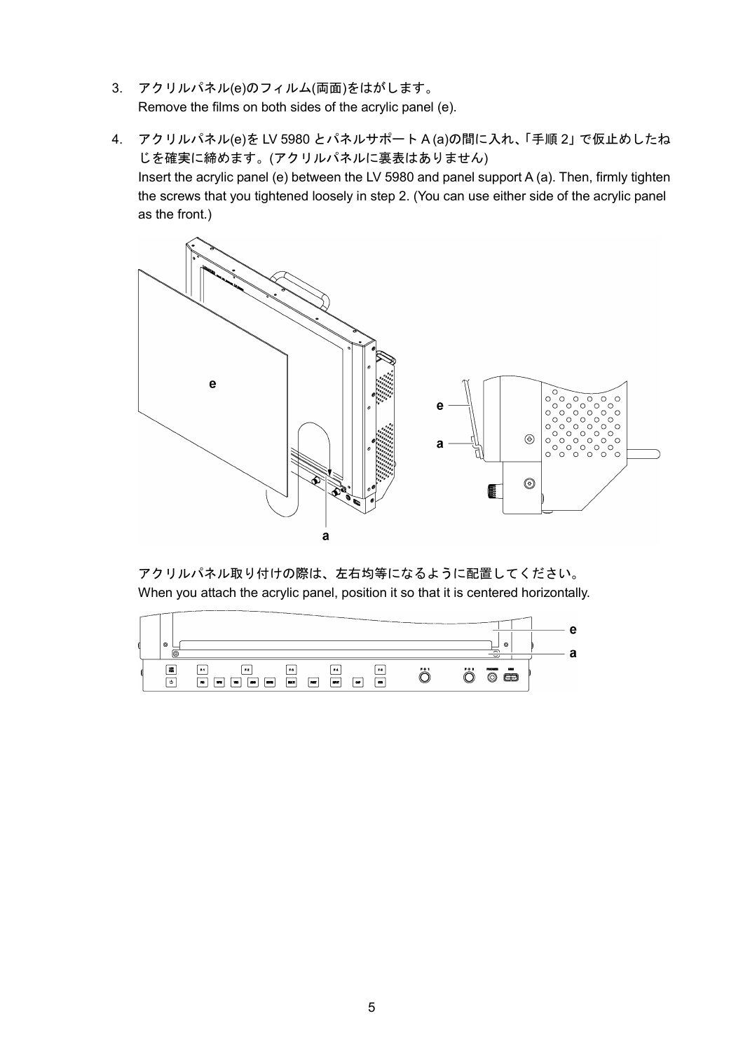- 3. アクリルパネル(e)のフィルム(両面)をはがします。 Remove the films on both sides of the acrylic panel (e).
- 4. アクリルパネル(e)を LV 5980 とパネルサポート A (a)の間に入れ、「手順 2」で仮止めしたね じを確実に締めます。(アクリルパネルに裏表はありません) Insert the acrylic panel (e) between the LV 5980 and panel support A (a). Then, firmly tighten the screws that you tightened loosely in step 2. (You can use either side of the acrylic panel as the front.)



アクリルパネル取り付けの際は、左右均等になるように配置してください。 When you attach the acrylic panel, position it so that it is centered horizontally.

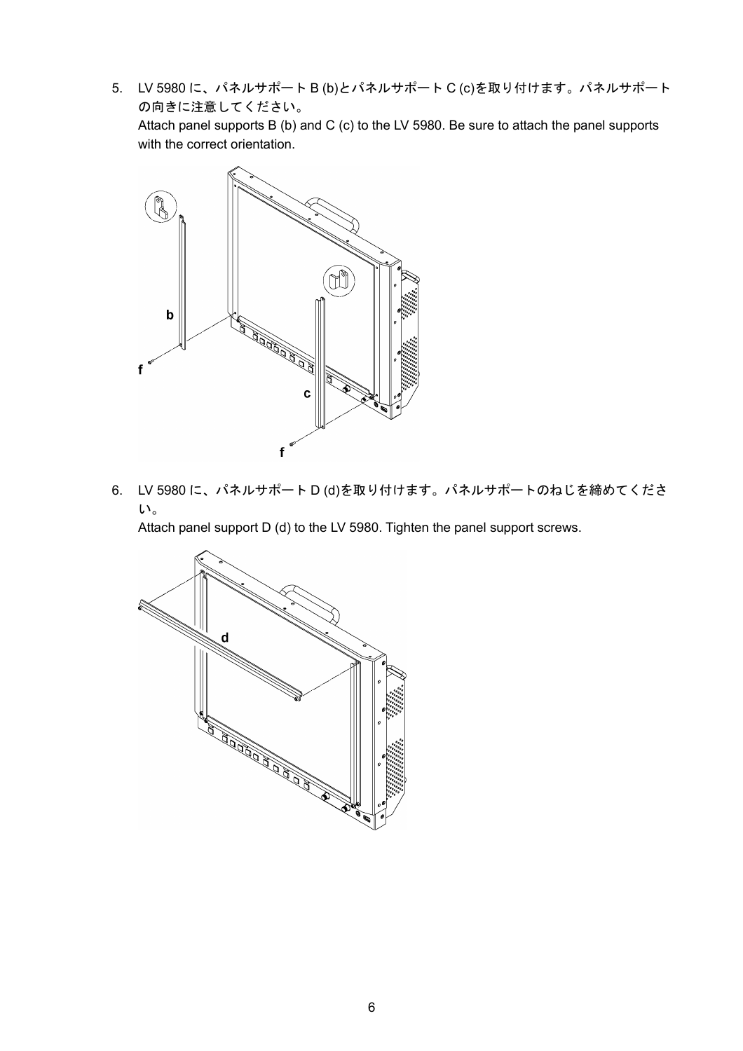5. LV 5980 に、パネルサポート B (b)とパネルサポート C (c)を取り付けます。パネルサポート の向きに注意してください。

Attach panel supports B (b) and C (c) to the LV 5980. Be sure to attach the panel supports with the correct orientation.



6. LV 5980 に、パネルサポート D (d)を取り付けます。パネルサポートのねじを締めてくださ い。

Attach panel support D (d) to the LV 5980. Tighten the panel support screws.